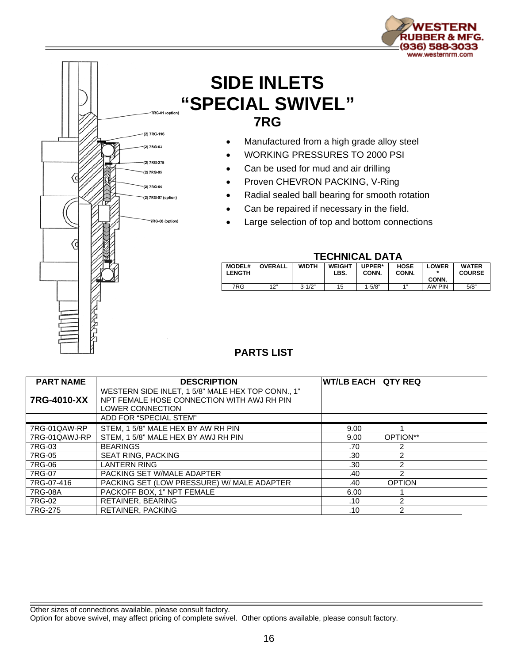

## **SIDE INLETS "SPECIAL SWIVEL" 7RG**

- Manufactured from a high grade alloy steel
- WORKING PRESSURES TO 2000 PSI
- Can be used for mud and air drilling
- Proven CHEVRON PACKING, V-Ring
- Radial sealed ball bearing for smooth rotation
- Can be repaired if necessary in the field.
- Large selection of top and bottom connections



## **TECHNICAL DATA**

| <b>MODEL#</b><br><b>LENGTH</b> | <b>OVERALL</b> | <b>WIDTH</b> | <b>WEIGHT</b><br>LBS. | UPPER*<br>CONN. | <b>HOSE</b><br>CONN. | _OWER  | <b>WATER</b><br><b>COURSE</b> |
|--------------------------------|----------------|--------------|-----------------------|-----------------|----------------------|--------|-------------------------------|
|                                |                |              |                       |                 |                      | CONN.  |                               |
| 7RG                            | 12"<br>. .     | $3 - 1/2"$   | 15                    | 1-5/8"          | 411                  | AW PIN | 5/8"                          |

## **PARTS LIST**

| <b>PART NAME</b> | <b>DESCRIPTION</b>                                | <b>WT/LB EACH QTY REQ</b> |               |  |
|------------------|---------------------------------------------------|---------------------------|---------------|--|
|                  | WESTERN SIDE INLET, 1 5/8" MALE HEX TOP CONN., 1" |                           |               |  |
| 7RG-4010-XX      | NPT FEMALE HOSE CONNECTION WITH AWJ RH PIN        |                           |               |  |
|                  | LOWER CONNECTION                                  |                           |               |  |
|                  | ADD FOR "SPECIAL STEM"                            |                           |               |  |
| 7RG-01QAW-RP     | STEM, 15/8" MALE HEX BY AW RH PIN                 | 9.00                      |               |  |
| 7RG-01QAWJ-RP    | STEM. 15/8" MALE HEX BY AWJ RH PIN                | 9.00                      | OPTION**      |  |
| 7RG-03           | <b>BEARINGS</b>                                   | .70                       | 2             |  |
| 7RG-05           | <b>SEAT RING, PACKING</b>                         | .30                       | 2             |  |
| 7RG-06           | <b>LANTERN RING</b>                               | .30                       | 2             |  |
| 7RG-07           | PACKING SET W/MALE ADAPTER                        | .40                       | 2             |  |
| 7RG-07-416       | PACKING SET (LOW PRESSURE) W/ MALE ADAPTER        | .40                       | <b>OPTION</b> |  |
| 7RG-08A          | PACKOFF BOX, 1" NPT FEMALE                        | 6.00                      |               |  |
| 7RG-02           | <b>RETAINER, BEARING</b>                          | .10                       | 2             |  |
| 7RG-275          | <b>RETAINER, PACKING</b>                          | .10                       | 2             |  |

Other sizes of connections available, please consult factory.

Option for above swivel, may affect pricing of complete swivel. Other options available, please consult factory.